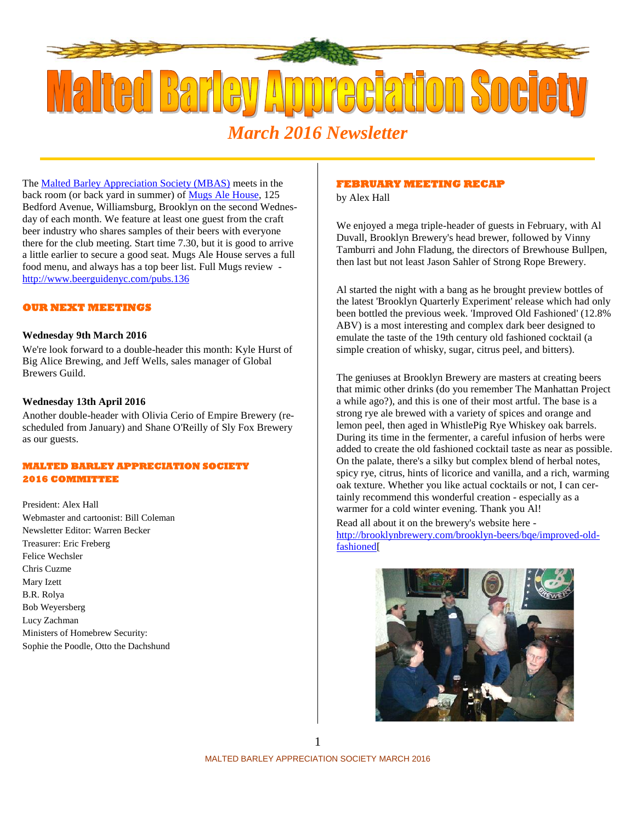

# *March 2016 Newsletter*

The Malted Barley Appreciation Society (MBAS) meets in the back room (or back yard in summer) of Mugs Ale House, 125 Bedford Avenue, Williamsburg, Brooklyn on the second Wednesday of each month. We feature at least one guest from the craft beer industry who shares samples of their beers with everyone there for the club meeting. Start time 7.30, but it is good to arrive a little earlier to secure a good seat. Mugs Ale House serves a full food menu, and always has a top beer list. Full Mugs review http://www.beerguidenyc.com/pubs.136

## **OUR NEXT MEETINGS**

#### **Wednesday 9th March 2016**

We're look forward to a double-header this month: Kyle Hurst of Big Alice Brewing, and Jeff Wells, sales manager of Global Brewers Guild.

## **Wednesday 13th April 2016**

Another double-header with Olivia Cerio of Empire Brewery (rescheduled from January) and Shane O'Reilly of Sly Fox Brewery as our guests.

# **MALTED BARLEY APPRECIATION SOCIETY 2016 COMMITTEE**

President: Alex Hall Webmaster and cartoonist: Bill Coleman Newsletter Editor: Warren Becker Treasurer: Eric Freberg Felice Wechsler Chris Cuzme Mary Izett B.R. Rolya Bob Weyersberg Lucy Zachman Ministers of Homebrew Security: Sophie the Poodle, Otto the Dachshund

### **FEBRUARY MEETING RECAP**

by Alex Hall

We enjoyed a mega triple-header of guests in February, with Al Duvall, Brooklyn Brewery's head brewer, followed by Vinny Tamburri and John Fladung, the directors of Brewhouse Bullpen, then last but not least Jason Sahler of Strong Rope Brewery.

Al started the night with a bang as he brought preview bottles of the latest 'Brooklyn Quarterly Experiment' release which had only been bottled the previous week. 'Improved Old Fashioned' (12.8% ABV) is a most interesting and complex dark beer designed to emulate the taste of the 19th century old fashioned cocktail (a simple creation of whisky, sugar, citrus peel, and bitters).

The geniuses at Brooklyn Brewery are masters at creating beers that mimic other drinks (do you remember The Manhattan Project a while ago?), and this is one of their most artful. The base is a strong rye ale brewed with a variety of spices and orange and lemon peel, then aged in WhistlePig Rye Whiskey oak barrels. During its time in the fermenter, a careful infusion of herbs were added to create the old fashioned cocktail taste as near as possible. On the palate, there's a silky but complex blend of herbal notes, spicy rye, citrus, hints of licorice and vanilla, and a rich, warming oak texture. Whether you like actual cocktails or not, I can certainly recommend this wonderful creation - especially as a warmer for a cold winter evening. Thank you Al!

Read all about it on the brewery's website here http://brooklynbrewery.com/brooklyn-beers/bqe/improved-oldfashioned[

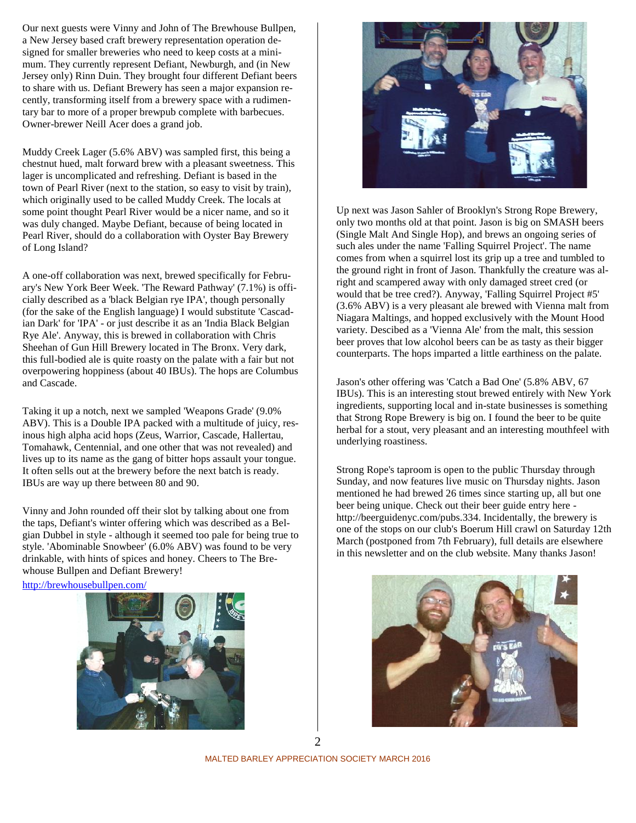Our next guests were Vinny and John of The Brewhouse Bullpen, a New Jersey based craft brewery representation operation designed for smaller breweries who need to keep costs at a minimum. They currently represent Defiant, Newburgh, and (in New Jersey only) Rinn Duin. They brought four different Defiant beers to share with us. Defiant Brewery has seen a major expansion recently, transforming itself from a brewery space with a rudimentary bar to more of a proper brewpub complete with barbecues. Owner-brewer Neill Acer does a grand job.

Muddy Creek Lager (5.6% ABV) was sampled first, this being a chestnut hued, malt forward brew with a pleasant sweetness. This lager is uncomplicated and refreshing. Defiant is based in the town of Pearl River (next to the station, so easy to visit by train), which originally used to be called Muddy Creek. The locals at some point thought Pearl River would be a nicer name, and so it was duly changed. Maybe Defiant, because of being located in Pearl River, should do a collaboration with Oyster Bay Brewery of Long Island?

A one-off collaboration was next, brewed specifically for February's New York Beer Week. 'The Reward Pathway' (7.1%) is officially described as a 'black Belgian rye IPA', though personally (for the sake of the English language) I would substitute 'Cascadian Dark' for 'IPA' - or just describe it as an 'India Black Belgian Rye Ale'. Anyway, this is brewed in collaboration with Chris Sheehan of Gun Hill Brewery located in The Bronx. Very dark, this full-bodied ale is quite roasty on the palate with a fair but not overpowering hoppiness (about 40 IBUs). The hops are Columbus and Cascade.

Taking it up a notch, next we sampled 'Weapons Grade' (9.0% ABV). This is a Double IPA packed with a multitude of juicy, resinous high alpha acid hops (Zeus, Warrior, Cascade, Hallertau, Tomahawk, Centennial, and one other that was not revealed) and lives up to its name as the gang of bitter hops assault your tongue. It often sells out at the brewery before the next batch is ready. IBUs are way up there between 80 and 90.

Vinny and John rounded off their slot by talking about one from the taps, Defiant's winter offering which was described as a Belgian Dubbel in style - although it seemed too pale for being true to style. 'Abominable Snowbeer' (6.0% ABV) was found to be very drinkable, with hints of spices and honey. Cheers to The Brewhouse Bullpen and Defiant Brewery!

http://brewhousebullpen.com/





Up next was Jason Sahler of Brooklyn's Strong Rope Brewery, only two months old at that point. Jason is big on SMASH beers (Single Malt And Single Hop), and brews an ongoing series of such ales under the name 'Falling Squirrel Project'. The name comes from when a squirrel lost its grip up a tree and tumbled to the ground right in front of Jason. Thankfully the creature was alright and scampered away with only damaged street cred (or would that be tree cred?). Anyway, 'Falling Squirrel Project #5' (3.6% ABV) is a very pleasant ale brewed with Vienna malt from Niagara Maltings, and hopped exclusively with the Mount Hood variety. Descibed as a 'Vienna Ale' from the malt, this session beer proves that low alcohol beers can be as tasty as their bigger counterparts. The hops imparted a little earthiness on the palate.

Jason's other offering was 'Catch a Bad One' (5.8% ABV, 67 IBUs). This is an interesting stout brewed entirely with New York ingredients, supporting local and in-state businesses is something that Strong Rope Brewery is big on. I found the beer to be quite herbal for a stout, very pleasant and an interesting mouthfeel with underlying roastiness.

Strong Rope's taproom is open to the public Thursday through Sunday, and now features live music on Thursday nights. Jason mentioned he had brewed 26 times since starting up, all but one beer being unique. Check out their beer guide entry here http://beerguidenyc.com/pubs.334. Incidentally, the brewery is one of the stops on our club's Boerum Hill crawl on Saturday 12th March (postponed from 7th February), full details are elsewhere in this newsletter and on the club website. Many thanks Jason!



MALTED BARLEY APPRECIATION SOCIETY MARCH 2016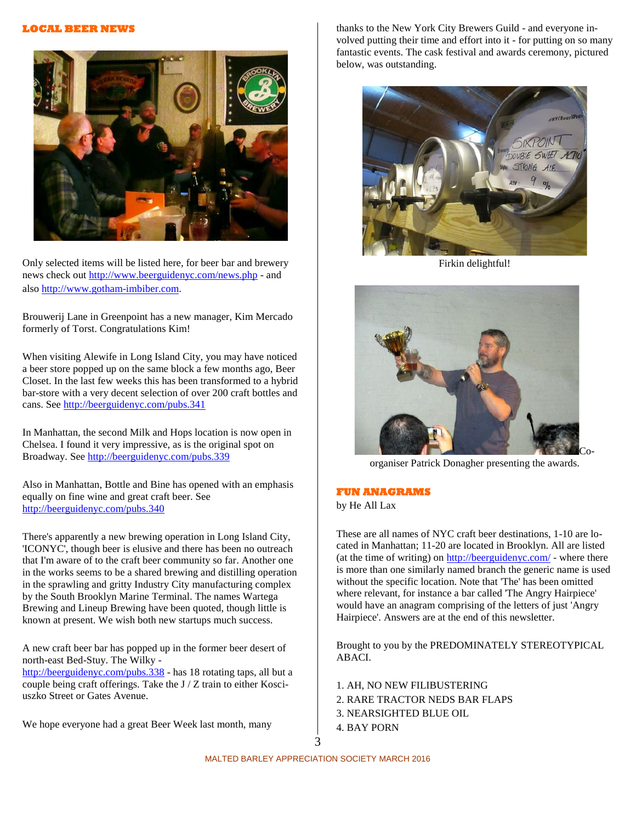# **LOCAL BEER NEWS**



Only selected items will be listed here, for beer bar and brewery news check out http://www.beerguidenyc.com/news.php - and also http://www.gotham-imbiber.com.

Brouwerij Lane in Greenpoint has a new manager, Kim Mercado formerly of Torst. Congratulations Kim!

When visiting Alewife in Long Island City, you may have noticed a beer store popped up on the same block a few months ago, Beer Closet. In the last few weeks this has been transformed to a hybrid bar-store with a very decent selection of over 200 craft bottles and cans. See http://beerguidenyc.com/pubs.341

In Manhattan, the second Milk and Hops location is now open in Chelsea. I found it very impressive, as is the original spot on Broadway. See http://beerguidenyc.com/pubs.339

Also in Manhattan, Bottle and Bine has opened with an emphasis equally on fine wine and great craft beer. See http://beerguidenyc.com/pubs.340

There's apparently a new brewing operation in Long Island City, 'ICONYC', though beer is elusive and there has been no outreach that I'm aware of to the craft beer community so far. Another one in the works seems to be a shared brewing and distilling operation in the sprawling and gritty Industry City manufacturing complex by the South Brooklyn Marine Terminal. The names Wartega Brewing and Lineup Brewing have been quoted, though little is known at present. We wish both new startups much success.

A new craft beer bar has popped up in the former beer desert of north-east Bed-Stuy. The Wilky -

http://beerguidenyc.com/pubs.338 - has 18 rotating taps, all but a couple being craft offerings. Take the J / Z train to either Kosciuszko Street or Gates Avenue.

We hope everyone had a great Beer Week last month, many

thanks to the New York City Brewers Guild - and everyone involved putting their time and effort into it - for putting on so many fantastic events. The cask festival and awards ceremony, pictured below, was outstanding.



Firkin delightful!



organiser Patrick Donagher presenting the awards.

# **FUN ANAGRAMS**

by He All Lax

These are all names of NYC craft beer destinations, 1-10 are located in Manhattan; 11-20 are located in Brooklyn. All are listed (at the time of writing) on http://beerguidenyc.com/ - where there is more than one similarly named branch the generic name is used without the specific location. Note that 'The' has been omitted where relevant, for instance a bar called 'The Angry Hairpiece' would have an anagram comprising of the letters of just 'Angry Hairpiece'. Answers are at the end of this newsletter.

Brought to you by the PREDOMINATELY STEREOTYPICAL ABACI.

1. AH, NO NEW FILIBUSTERING 2. RARE TRACTOR NEDS BAR FLAPS 3. NEARSIGHTED BLUE OIL 4. BAY PORN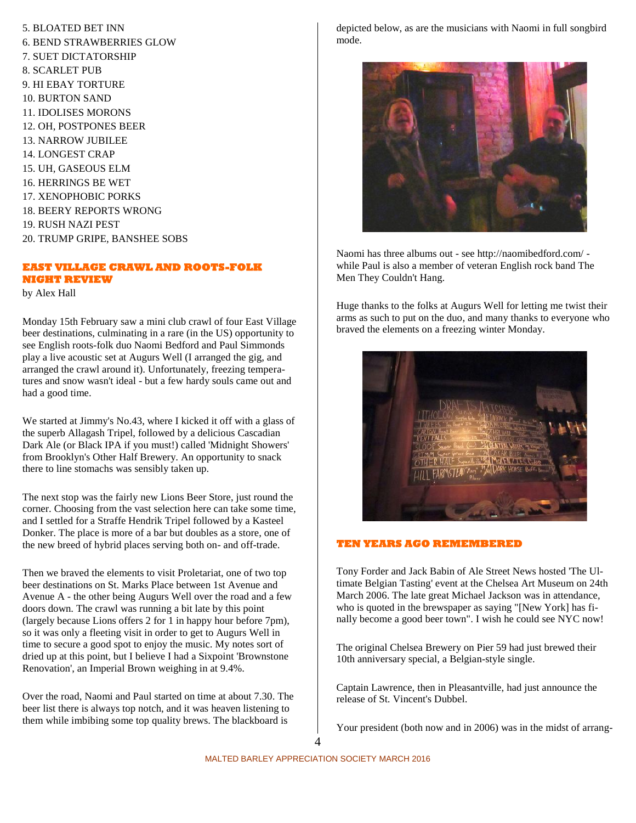5. BLOATED BET INN 6. BEND STRAWBERRIES GLOW 7. SUET DICTATORSHIP 8. SCARLET PUB 9. HI EBAY TORTURE 10. BURTON SAND 11. IDOLISES MORONS 12. OH, POSTPONES BEER 13. NARROW JUBILEE 14. LONGEST CRAP 15. UH, GASEOUS ELM 16. HERRINGS BE WET 17. XENOPHOBIC PORKS 18. BEERY REPORTS WRONG 19. RUSH NAZI PEST 20. TRUMP GRIPE, BANSHEE SOBS

# **EAST VILLAGE CRAWL AND ROOTS-FOLK NIGHT REVIEW**

by Alex Hall

Monday 15th February saw a mini club crawl of four East Village beer destinations, culminating in a rare (in the US) opportunity to see English roots-folk duo Naomi Bedford and Paul Simmonds play a live acoustic set at Augurs Well (I arranged the gig, and arranged the crawl around it). Unfortunately, freezing temperatures and snow wasn't ideal - but a few hardy souls came out and had a good time.

We started at Jimmy's No.43, where I kicked it off with a glass of the superb Allagash Tripel, followed by a delicious Cascadian Dark Ale (or Black IPA if you must!) called 'Midnight Showers' from Brooklyn's Other Half Brewery. An opportunity to snack there to line stomachs was sensibly taken up.

The next stop was the fairly new Lions Beer Store, just round the corner. Choosing from the vast selection here can take some time, and I settled for a Straffe Hendrik Tripel followed by a Kasteel Donker. The place is more of a bar but doubles as a store, one of the new breed of hybrid places serving both on- and off-trade.

Then we braved the elements to visit Proletariat, one of two top beer destinations on St. Marks Place between 1st Avenue and Avenue A - the other being Augurs Well over the road and a few doors down. The crawl was running a bit late by this point (largely because Lions offers 2 for 1 in happy hour before 7pm), so it was only a fleeting visit in order to get to Augurs Well in time to secure a good spot to enjoy the music. My notes sort of dried up at this point, but I believe I had a Sixpoint 'Brownstone Renovation', an Imperial Brown weighing in at 9.4%.

Over the road, Naomi and Paul started on time at about 7.30. The beer list there is always top notch, and it was heaven listening to them while imbibing some top quality brews. The blackboard is

depicted below, as are the musicians with Naomi in full songbird mode.



Naomi has three albums out - see http://naomibedford.com/ while Paul is also a member of veteran English rock band The Men They Couldn't Hang.

Huge thanks to the folks at Augurs Well for letting me twist their arms as such to put on the duo, and many thanks to everyone who braved the elements on a freezing winter Monday.



## **TEN YEARS AGO REMEMBERED**

Tony Forder and Jack Babin of Ale Street News hosted 'The Ultimate Belgian Tasting' event at the Chelsea Art Museum on 24th March 2006. The late great Michael Jackson was in attendance, who is quoted in the brewspaper as saying "[New York] has finally become a good beer town". I wish he could see NYC now!

The original Chelsea Brewery on Pier 59 had just brewed their 10th anniversary special, a Belgian-style single.

Captain Lawrence, then in Pleasantville, had just announce the release of St. Vincent's Dubbel.

Your president (both now and in 2006) was in the midst of arrang-